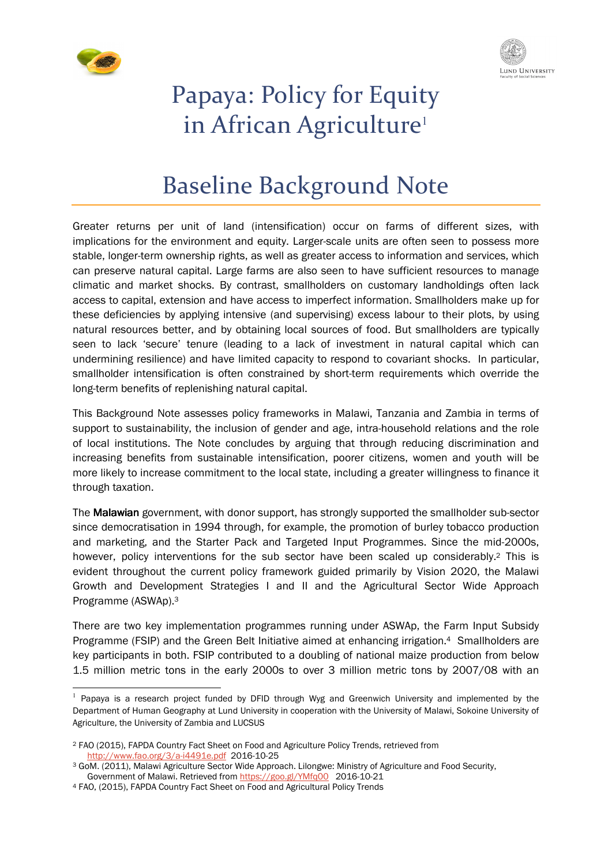



# Papaya: Policy for Equity in African Agriculture<sup>1</sup>

# Baseline Background Note

Greater returns per unit of land (intensification) occur on farms of different sizes, with implications for the environment and equity. Larger-scale units are often seen to possess more stable, longer-term ownership rights, as well as greater access to information and services, which can preserve natural capital. Large farms are also seen to have sufficient resources to manage climatic and market shocks. By contrast, smallholders on customary landholdings often lack access to capital, extension and have access to imperfect information. Smallholders make up for these deficiencies by applying intensive (and supervising) excess labour to their plots, by using natural resources better, and by obtaining local sources of food. But smallholders are typically seen to lack 'secure' tenure (leading to a lack of investment in natural capital which can undermining resilience) and have limited capacity to respond to covariant shocks. In particular, smallholder intensification is often constrained by short-term requirements which override the long-term benefits of replenishing natural capital.

This Background Note assesses policy frameworks in Malawi, Tanzania and Zambia in terms of support to sustainability, the inclusion of gender and age, intra-household relations and the role of local institutions. The Note concludes by arguing that through reducing discrimination and increasing benefits from sustainable intensification, poorer citizens, women and youth will be more likely to increase commitment to the local state, including a greater willingness to finance it through taxation.

The Malawian government, with donor support, has strongly supported the smallholder sub-sector since democratisation in 1994 through, for example, the promotion of burley tobacco production and marketing, and the Starter Pack and Targeted Input Programmes. Since the mid-2000s, however, policy interventions for the sub sector have been scaled up considerably.2 This is evident throughout the current policy framework guided primarily by Vision 2020, the Malawi Growth and Development Strategies I and II and the Agricultural Sector Wide Approach Programme (ASWAp).<sup>3</sup>

There are two key implementation programmes running under ASWAp, the Farm Input Subsidy Programme (FSIP) and the Green Belt Initiative aimed at enhancing irrigation.4 Smallholders are key participants in both. FSIP contributed to a doubling of national maize production from below 1.5 million metric tons in the early 2000s to over 3 million metric tons by 2007/08 with an

<sup>&</sup>lt;sup>1</sup> Papaya is a research project funded by DFID through Wyg and Greenwich University and implemented by the Department of Human Geography at Lund University in cooperation with the University of Malawi, Sokoine University of Agriculture, the University of Zambia and LUCSUS

<sup>2</sup> FAO (2015), FAPDA Country Fact Sheet on Food and Agriculture Policy Trends, retrieved from http://www.fao.org/3/a-i4491e.pdf 2016-10-25

<sup>3</sup> GoM. (2011), Malawi Agriculture Sector Wide Approach. Lilongwe: Ministry of Agriculture and Food Security, Government of Malawi. Retrieved from https://goo.gl/YMfq00 2016-10-21

<sup>4</sup> FAO, (2015), FAPDA Country Fact Sheet on Food and Agricultural Policy Trends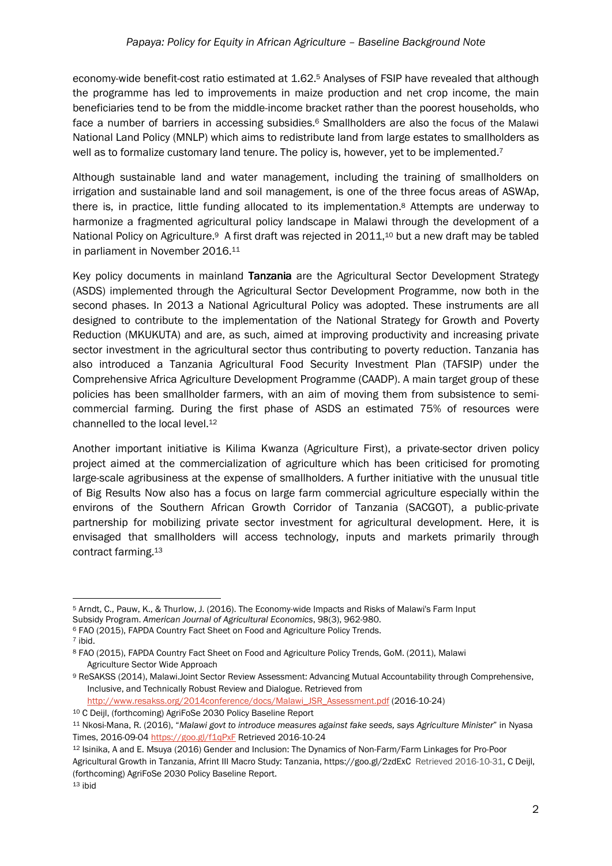economy-wide benefit-cost ratio estimated at 1.62.5 Analyses of FSIP have revealed that although the programme has led to improvements in maize production and net crop income, the main beneficiaries tend to be from the middle-income bracket rather than the poorest households, who face a number of barriers in accessing subsidies.<sup>6</sup> Smallholders are also the focus of the Malawi National Land Policy (MNLP) which aims to redistribute land from large estates to smallholders as well as to formalize customary land tenure. The policy is, however, yet to be implemented.<sup>7</sup>

Although sustainable land and water management, including the training of smallholders on irrigation and sustainable land and soil management, is one of the three focus areas of ASWAp, there is, in practice, little funding allocated to its implementation.8 Attempts are underway to harmonize a fragmented agricultural policy landscape in Malawi through the development of a National Policy on Agriculture.<sup>9</sup> A first draft was rejected in 2011,<sup>10</sup> but a new draft may be tabled in parliament in November 2016.<sup>11</sup>

Key policy documents in mainland Tanzania are the Agricultural Sector Development Strategy (ASDS) implemented through the Agricultural Sector Development Programme, now both in the second phases. In 2013 a National Agricultural Policy was adopted. These instruments are all designed to contribute to the implementation of the National Strategy for Growth and Poverty Reduction (MKUKUTA) and are, as such, aimed at improving productivity and increasing private sector investment in the agricultural sector thus contributing to poverty reduction. Tanzania has also introduced a Tanzania Agricultural Food Security Investment Plan (TAFSIP) under the Comprehensive Africa Agriculture Development Programme (CAADP). A main target group of these policies has been smallholder farmers, with an aim of moving them from subsistence to semicommercial farming. During the first phase of ASDS an estimated 75% of resources were channelled to the local level.<sup>12</sup>

Another important initiative is Kilima Kwanza (Agriculture First), a private-sector driven policy project aimed at the commercialization of agriculture which has been criticised for promoting large-scale agribusiness at the expense of smallholders. A further initiative with the unusual title of Big Results Now also has a focus on large farm commercial agriculture especially within the environs of the Southern African Growth Corridor of Tanzania (SACGOT), a public-private partnership for mobilizing private sector investment for agricultural development. Here, it is envisaged that smallholders will access technology, inputs and markets primarily through contract farming.<sup>13</sup>

http://www.resakss.org/2014conference/docs/Malawi\_JSR\_Assessment.pdf (2016-10-24)

<sup>10</sup> C Deijl, (forthcoming) AgriFoSe 2030 Policy Baseline Report

 $\overline{a}$ <sup>5</sup> Arndt, C., Pauw, K., & Thurlow, J. (2016). The Economy-wide Impacts and Risks of Malawi's Farm Input Subsidy Program. *American Journal of Agricultural Economics*, 98(3), 962-980.

<sup>6</sup> FAO (2015), FAPDA Country Fact Sheet on Food and Agriculture Policy Trends.

<sup>7</sup> ibid.

<sup>8</sup> FAO (2015), FAPDA Country Fact Sheet on Food and Agriculture Policy Trends, GoM. (2011), Malawi Agriculture Sector Wide Approach

<sup>9</sup> ReSAKSS (2014), Malawi.Joint Sector Review Assessment: Advancing Mutual Accountability through Comprehensive, Inclusive, and Technically Robust Review and Dialogue. Retrieved from

<sup>11</sup> Nkosi-Mana, R. (2016), "*Malawi govt to introduce measures against fake seeds, says Agriculture Minister*" in Nyasa Times, 2016-09-04 https://goo.gl/f1qPxF Retrieved 2016-10-24

<sup>12</sup> Isinika, A and E. Msuya (2016) Gender and Inclusion: The Dynamics of Non-Farm/Farm Linkages for Pro-Poor Agricultural Growth in Tanzania, Afrint III Macro Study: Tanzania, https://goo.gl/2zdExC Retrieved 2016-10-31, C Deijl, (forthcoming) AgriFoSe 2030 Policy Baseline Report.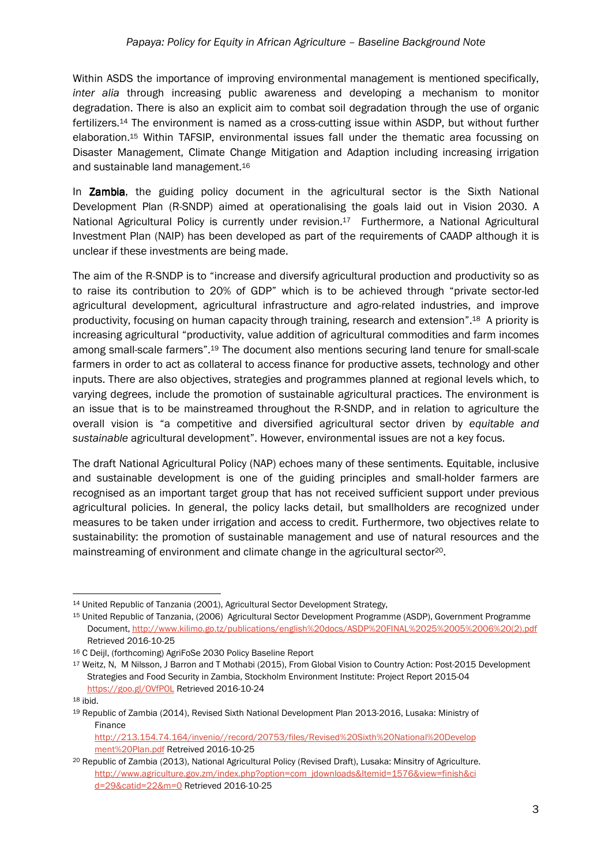Within ASDS the importance of improving environmental management is mentioned specifically, *inter alia* through increasing public awareness and developing a mechanism to monitor degradation. There is also an explicit aim to combat soil degradation through the use of organic fertilizers.14 The environment is named as a cross-cutting issue within ASDP, but without further elaboration.15 Within TAFSIP, environmental issues fall under the thematic area focussing on Disaster Management, Climate Change Mitigation and Adaption including increasing irrigation and sustainable land management.<sup>16</sup>

In **Zambia**, the guiding policy document in the agricultural sector is the Sixth National Development Plan (R-SNDP) aimed at operationalising the goals laid out in Vision 2030. A National Agricultural Policy is currently under revision.<sup>17</sup> Furthermore, a National Agricultural Investment Plan (NAIP) has been developed as part of the requirements of CAADP although it is unclear if these investments are being made.

The aim of the R-SNDP is to "increase and diversify agricultural production and productivity so as to raise its contribution to 20% of GDP" which is to be achieved through "private sector-led agricultural development, agricultural infrastructure and agro-related industries, and improve productivity, focusing on human capacity through training, research and extension".18 A priority is increasing agricultural "productivity, value addition of agricultural commodities and farm incomes among small-scale farmers".19 The document also mentions securing land tenure for small-scale farmers in order to act as collateral to access finance for productive assets, technology and other inputs. There are also objectives, strategies and programmes planned at regional levels which, to varying degrees, include the promotion of sustainable agricultural practices. The environment is an issue that is to be mainstreamed throughout the R-SNDP, and in relation to agriculture the overall vision is "a competitive and diversified agricultural sector driven by *equitable and sustainable* agricultural development". However, environmental issues are not a key focus.

The draft National Agricultural Policy (NAP) echoes many of these sentiments. Equitable, inclusive and sustainable development is one of the guiding principles and small-holder farmers are recognised as an important target group that has not received sufficient support under previous agricultural policies. In general, the policy lacks detail, but smallholders are recognized under measures to be taken under irrigation and access to credit. Furthermore, two objectives relate to sustainability: the promotion of sustainable management and use of natural resources and the mainstreaming of environment and climate change in the agricultural sector<sup>20</sup>.

<sup>14</sup> United Republic of Tanzania (2001), Agricultural Sector Development Strategy,

<sup>15</sup> United Republic of Tanzania, (2006) Agricultural Sector Development Programme (ASDP), Government Programme Document, http://www.kilimo.go.tz/publications/english%20docs/ASDP%20FINAL%2025%2005%2006%20(2).pdf Retrieved 2016-10-25

<sup>16</sup> C Deijl, (forthcoming) AgriFoSe 2030 Policy Baseline Report

<sup>17</sup> Weitz, N, M Nilsson, J Barron and T Mothabi (2015), From Global Vision to Country Action: Post-2015 Development Strategies and Food Security in Zambia, Stockholm Environment Institute: Project Report 2015-04 https://goo.gl/OVfPOL Retrieved 2016-10-24

<sup>18</sup> ibid.

<sup>19</sup> Republic of Zambia (2014), Revised Sixth National Development Plan 2013-2016, Lusaka: Ministry of Finance

http://213.154.74.164/invenio//record/20753/files/Revised%20Sixth%20National%20Develop ment%20Plan.pdf Retreived 2016-10-25

<sup>20</sup> Republic of Zambia (2013), National Agricultural Policy (Revised Draft), Lusaka: Minsitry of Agriculture. http://www.agriculture.gov.zm/index.php?option=com\_jdownloads&Itemid=1576&view=finish&ci d=29&catid=22&m=0 Retrieved 2016-10-25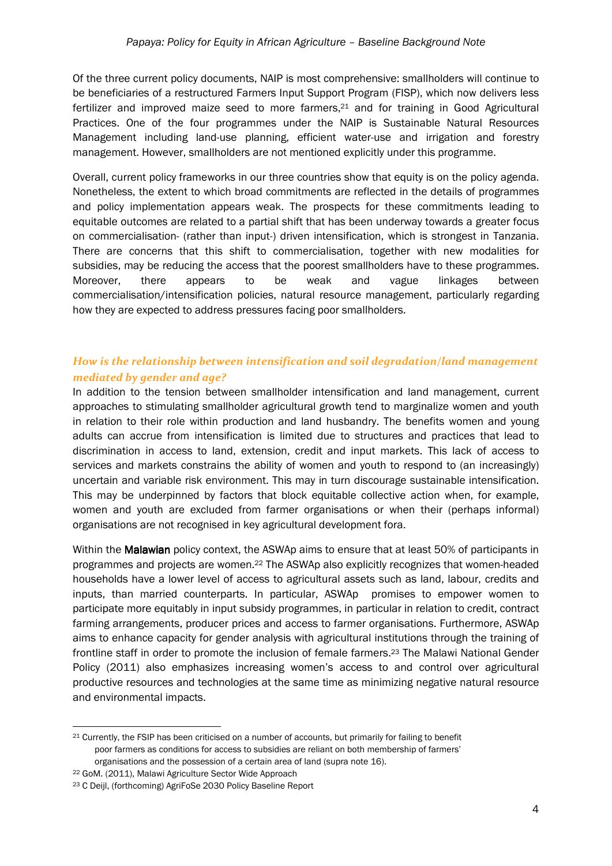Of the three current policy documents, NAIP is most comprehensive: smallholders will continue to be beneficiaries of a restructured Farmers Input Support Program (FISP), which now delivers less fertilizer and improved maize seed to more farmers,21 and for training in Good Agricultural Practices. One of the four programmes under the NAIP is Sustainable Natural Resources Management including land-use planning, efficient water-use and irrigation and forestry management. However, smallholders are not mentioned explicitly under this programme.

Overall, current policy frameworks in our three countries show that equity is on the policy agenda. Nonetheless, the extent to which broad commitments are reflected in the details of programmes and policy implementation appears weak. The prospects for these commitments leading to equitable outcomes are related to a partial shift that has been underway towards a greater focus on commercialisation- (rather than input-) driven intensification, which is strongest in Tanzania. There are concerns that this shift to commercialisation, together with new modalities for subsidies, may be reducing the access that the poorest smallholders have to these programmes. Moreover, there appears to be weak and vague linkages between commercialisation/intensification policies, natural resource management, particularly regarding how they are expected to address pressures facing poor smallholders.

### *How is the relationship between intensification and soil degradation/land management mediated by gender and age?*

In addition to the tension between smallholder intensification and land management, current approaches to stimulating smallholder agricultural growth tend to marginalize women and youth in relation to their role within production and land husbandry. The benefits women and young adults can accrue from intensification is limited due to structures and practices that lead to discrimination in access to land, extension, credit and input markets. This lack of access to services and markets constrains the ability of women and youth to respond to (an increasingly) uncertain and variable risk environment. This may in turn discourage sustainable intensification. This may be underpinned by factors that block equitable collective action when, for example, women and youth are excluded from farmer organisations or when their (perhaps informal) organisations are not recognised in key agricultural development fora.

Within the **Malawian** policy context, the ASWAp aims to ensure that at least 50% of participants in programmes and projects are women.22 The ASWAp also explicitly recognizes that women-headed households have a lower level of access to agricultural assets such as land, labour, credits and inputs, than married counterparts. In particular, ASWAp promises to empower women to participate more equitably in input subsidy programmes, in particular in relation to credit, contract farming arrangements, producer prices and access to farmer organisations. Furthermore, ASWAp aims to enhance capacity for gender analysis with agricultural institutions through the training of frontline staff in order to promote the inclusion of female farmers.23 The Malawi National Gender Policy (2011) also emphasizes increasing women's access to and control over agricultural productive resources and technologies at the same time as minimizing negative natural resource and environmental impacts.

 $\overline{a}$ <sup>21</sup> Currently, the FSIP has been criticised on a number of accounts, but primarily for failing to benefit poor farmers as conditions for access to subsidies are reliant on both membership of farmers' organisations and the possession of a certain area of land (supra note 16).

<sup>22</sup> GoM. (2011), Malawi Agriculture Sector Wide Approach

<sup>23</sup> C Deijl, (forthcoming) AgriFoSe 2030 Policy Baseline Report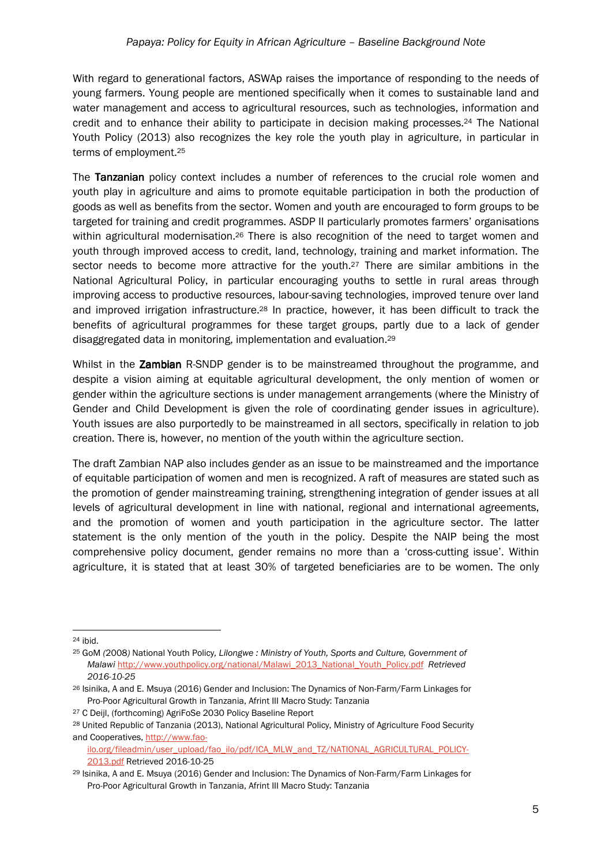With regard to generational factors, ASWAp raises the importance of responding to the needs of young farmers. Young people are mentioned specifically when it comes to sustainable land and water management and access to agricultural resources, such as technologies, information and credit and to enhance their ability to participate in decision making processes.24 The National Youth Policy (2013) also recognizes the key role the youth play in agriculture, in particular in terms of employment.<sup>25</sup>

The Tanzanian policy context includes a number of references to the crucial role women and youth play in agriculture and aims to promote equitable participation in both the production of goods as well as benefits from the sector. Women and youth are encouraged to form groups to be targeted for training and credit programmes. ASDP II particularly promotes farmers' organisations within agricultural modernisation.<sup>26</sup> There is also recognition of the need to target women and youth through improved access to credit, land, technology, training and market information. The sector needs to become more attractive for the youth.27 There are similar ambitions in the National Agricultural Policy, in particular encouraging youths to settle in rural areas through improving access to productive resources, labour-saving technologies, improved tenure over land and improved irrigation infrastructure.28 In practice, however, it has been difficult to track the benefits of agricultural programmes for these target groups, partly due to a lack of gender disaggregated data in monitoring, implementation and evaluation.<sup>29</sup>

Whilst in the Zambian R-SNDP gender is to be mainstreamed throughout the programme, and despite a vision aiming at equitable agricultural development, the only mention of women or gender within the agriculture sections is under management arrangements (where the Ministry of Gender and Child Development is given the role of coordinating gender issues in agriculture). Youth issues are also purportedly to be mainstreamed in all sectors, specifically in relation to job creation. There is, however, no mention of the youth within the agriculture section.

The draft Zambian NAP also includes gender as an issue to be mainstreamed and the importance of equitable participation of women and men is recognized. A raft of measures are stated such as the promotion of gender mainstreaming training, strengthening integration of gender issues at all levels of agricultural development in line with national, regional and international agreements, and the promotion of women and youth participation in the agriculture sector. The latter statement is the only mention of the youth in the policy. Despite the NAIP being the most comprehensive policy document, gender remains no more than a 'cross-cutting issue'. Within agriculture, it is stated that at least 30% of targeted beneficiaries are to be women. The only

 $24$  ibid.

<sup>25</sup> GoM *(*2008*)* National Youth Policy*, Lilongwe : Ministry of Youth, Sports and Culture, Government of Malawi* http://www.youthpolicy.org/national/Malawi\_2013\_National\_Youth\_Policy.pdf *Retrieved 2016-10-25* 

<sup>26</sup> Isinika, A and E. Msuya (2016) Gender and Inclusion: The Dynamics of Non-Farm/Farm Linkages for Pro-Poor Agricultural Growth in Tanzania, Afrint III Macro Study: Tanzania

<sup>27</sup> C Deijl, (forthcoming) AgriFoSe 2030 Policy Baseline Report

<sup>28</sup> United Republic of Tanzania (2013), National Agricultural Policy, Ministry of Agriculture Food Security and Cooperatives, http://www.fao-

ilo.org/fileadmin/user\_upload/fao\_ilo/pdf/ICA\_MLW\_and\_TZ/NATIONAL\_AGRICULTURAL\_POLICY-2013.pdf Retrieved 2016-10-25

<sup>29</sup> Isinika, A and E. Msuya (2016) Gender and Inclusion: The Dynamics of Non-Farm/Farm Linkages for Pro-Poor Agricultural Growth in Tanzania, Afrint III Macro Study: Tanzania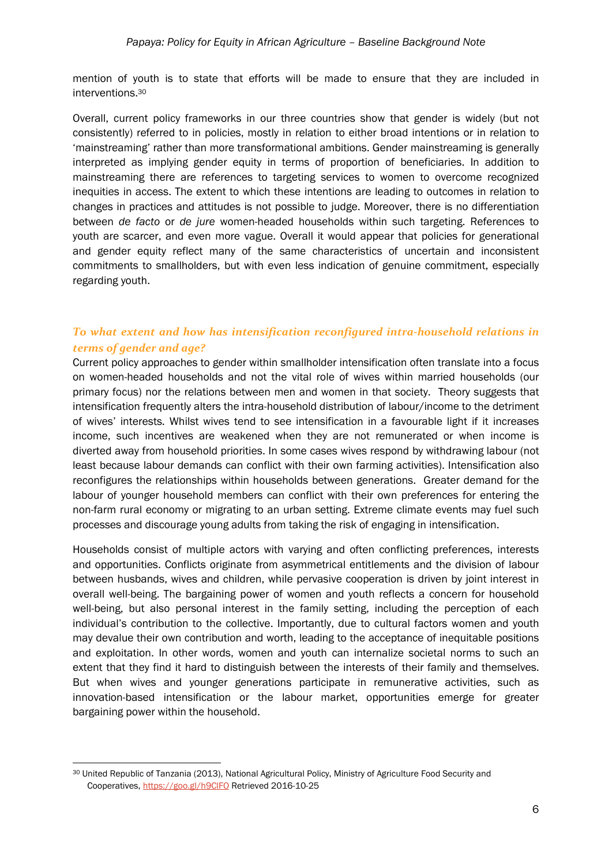mention of youth is to state that efforts will be made to ensure that they are included in interventions.<sup>30</sup>

Overall, current policy frameworks in our three countries show that gender is widely (but not consistently) referred to in policies, mostly in relation to either broad intentions or in relation to 'mainstreaming' rather than more transformational ambitions. Gender mainstreaming is generally interpreted as implying gender equity in terms of proportion of beneficiaries. In addition to mainstreaming there are references to targeting services to women to overcome recognized inequities in access. The extent to which these intentions are leading to outcomes in relation to changes in practices and attitudes is not possible to judge. Moreover, there is no differentiation between *de facto* or *de jure* women-headed households within such targeting. References to youth are scarcer, and even more vague. Overall it would appear that policies for generational and gender equity reflect many of the same characteristics of uncertain and inconsistent commitments to smallholders, but with even less indication of genuine commitment, especially regarding youth.

# *To what extent and how has intensification reconfigured intra-household relations in terms of gender and age?*

Current policy approaches to gender within smallholder intensification often translate into a focus on women-headed households and not the vital role of wives within married households (our primary focus) nor the relations between men and women in that society. Theory suggests that intensification frequently alters the intra-household distribution of labour/income to the detriment of wives' interests. Whilst wives tend to see intensification in a favourable light if it increases income, such incentives are weakened when they are not remunerated or when income is diverted away from household priorities. In some cases wives respond by withdrawing labour (not least because labour demands can conflict with their own farming activities). Intensification also reconfigures the relationships within households between generations. Greater demand for the labour of younger household members can conflict with their own preferences for entering the non-farm rural economy or migrating to an urban setting. Extreme climate events may fuel such processes and discourage young adults from taking the risk of engaging in intensification.

Households consist of multiple actors with varying and often conflicting preferences, interests and opportunities. Conflicts originate from asymmetrical entitlements and the division of labour between husbands, wives and children, while pervasive cooperation is driven by joint interest in overall well-being. The bargaining power of women and youth reflects a concern for household well-being, but also personal interest in the family setting, including the perception of each individual's contribution to the collective. Importantly, due to cultural factors women and youth may devalue their own contribution and worth, leading to the acceptance of inequitable positions and exploitation. In other words, women and youth can internalize societal norms to such an extent that they find it hard to distinguish between the interests of their family and themselves. But when wives and younger generations participate in remunerative activities, such as innovation-based intensification or the labour market, opportunities emerge for greater bargaining power within the household.

 $\overline{a}$ 

<sup>30</sup> United Republic of Tanzania (2013), National Agricultural Policy, Ministry of Agriculture Food Security and Cooperatives, https://goo.gl/h9ClFO Retrieved 2016-10-25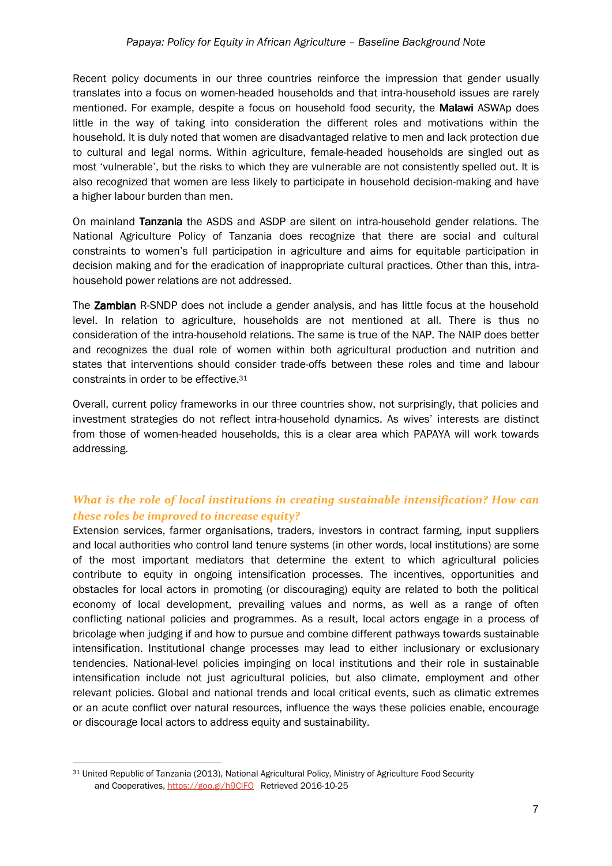Recent policy documents in our three countries reinforce the impression that gender usually translates into a focus on women-headed households and that intra-household issues are rarely mentioned. For example, despite a focus on household food security, the **Malawi** ASWAp does little in the way of taking into consideration the different roles and motivations within the household. It is duly noted that women are disadvantaged relative to men and lack protection due to cultural and legal norms. Within agriculture, female-headed households are singled out as most 'vulnerable', but the risks to which they are vulnerable are not consistently spelled out. It is also recognized that women are less likely to participate in household decision-making and have a higher labour burden than men.

On mainland Tanzania the ASDS and ASDP are silent on intra-household gender relations. The National Agriculture Policy of Tanzania does recognize that there are social and cultural constraints to women's full participation in agriculture and aims for equitable participation in decision making and for the eradication of inappropriate cultural practices. Other than this, intrahousehold power relations are not addressed.

The Zambian R-SNDP does not include a gender analysis, and has little focus at the household level. In relation to agriculture, households are not mentioned at all. There is thus no consideration of the intra-household relations. The same is true of the NAP. The NAIP does better and recognizes the dual role of women within both agricultural production and nutrition and states that interventions should consider trade-offs between these roles and time and labour constraints in order to be effective.<sup>31</sup>

Overall, current policy frameworks in our three countries show, not surprisingly, that policies and investment strategies do not reflect intra-household dynamics. As wives' interests are distinct from those of women-headed households, this is a clear area which PAPAYA will work towards addressing.

# *What is the role of local institutions in creating sustainable intensification? How can these roles be improved to increase equity?*

Extension services, farmer organisations, traders, investors in contract farming, input suppliers and local authorities who control land tenure systems (in other words, local institutions) are some of the most important mediators that determine the extent to which agricultural policies contribute to equity in ongoing intensification processes. The incentives, opportunities and obstacles for local actors in promoting (or discouraging) equity are related to both the political economy of local development, prevailing values and norms, as well as a range of often conflicting national policies and programmes. As a result, local actors engage in a process of bricolage when judging if and how to pursue and combine different pathways towards sustainable intensification. Institutional change processes may lead to either inclusionary or exclusionary tendencies. National-level policies impinging on local institutions and their role in sustainable intensification include not just agricultural policies, but also climate, employment and other relevant policies. Global and national trends and local critical events, such as climatic extremes or an acute conflict over natural resources, influence the ways these policies enable, encourage or discourage local actors to address equity and sustainability.

 $\overline{a}$ 

<sup>31</sup> United Republic of Tanzania (2013), National Agricultural Policy, Ministry of Agriculture Food Security and Cooperatives, https://goo.gl/h9ClFO Retrieved 2016-10-25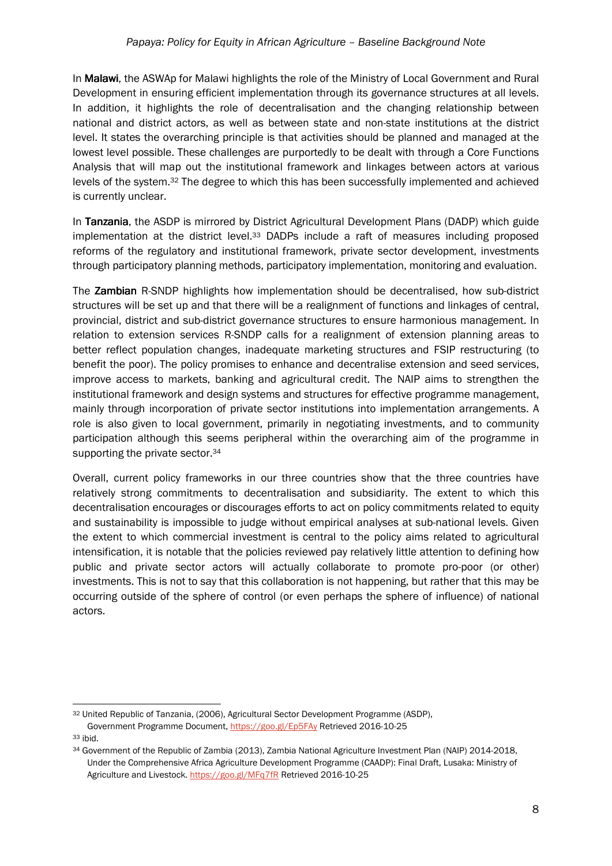In Malawi, the ASWAp for Malawi highlights the role of the Ministry of Local Government and Rural Development in ensuring efficient implementation through its governance structures at all levels. In addition, it highlights the role of decentralisation and the changing relationship between national and district actors, as well as between state and non-state institutions at the district level. It states the overarching principle is that activities should be planned and managed at the lowest level possible. These challenges are purportedly to be dealt with through a Core Functions Analysis that will map out the institutional framework and linkages between actors at various levels of the system.32 The degree to which this has been successfully implemented and achieved is currently unclear.

In Tanzania, the ASDP is mirrored by District Agricultural Development Plans (DADP) which guide implementation at the district level.33 DADPs include a raft of measures including proposed reforms of the regulatory and institutional framework, private sector development, investments through participatory planning methods, participatory implementation, monitoring and evaluation.

The **Zambian** R-SNDP highlights how implementation should be decentralised, how sub-district structures will be set up and that there will be a realignment of functions and linkages of central, provincial, district and sub-district governance structures to ensure harmonious management. In relation to extension services R-SNDP calls for a realignment of extension planning areas to better reflect population changes, inadequate marketing structures and FSIP restructuring (to benefit the poor). The policy promises to enhance and decentralise extension and seed services, improve access to markets, banking and agricultural credit. The NAIP aims to strengthen the institutional framework and design systems and structures for effective programme management, mainly through incorporation of private sector institutions into implementation arrangements. A role is also given to local government, primarily in negotiating investments, and to community participation although this seems peripheral within the overarching aim of the programme in supporting the private sector.<sup>34</sup>

Overall, current policy frameworks in our three countries show that the three countries have relatively strong commitments to decentralisation and subsidiarity. The extent to which this decentralisation encourages or discourages efforts to act on policy commitments related to equity and sustainability is impossible to judge without empirical analyses at sub-national levels. Given the extent to which commercial investment is central to the policy aims related to agricultural intensification, it is notable that the policies reviewed pay relatively little attention to defining how public and private sector actors will actually collaborate to promote pro-poor (or other) investments. This is not to say that this collaboration is not happening, but rather that this may be occurring outside of the sphere of control (or even perhaps the sphere of influence) of national actors.

 $\overline{a}$ <sup>32</sup> United Republic of Tanzania, (2006), Agricultural Sector Development Programme (ASDP),

Government Programme Document, https://goo.gl/Ep5FAy Retrieved 2016-10-25 <sup>33</sup> ibid.

<sup>&</sup>lt;sup>34</sup> Government of the Republic of Zambia (2013), Zambia National Agriculture Investment Plan (NAIP) 2014-2018, Under the Comprehensive Africa Agriculture Development Programme (CAADP): Final Draft, Lusaka: Ministry of Agriculture and Livestock. https://goo.gl/MFq7fR Retrieved 2016-10-25